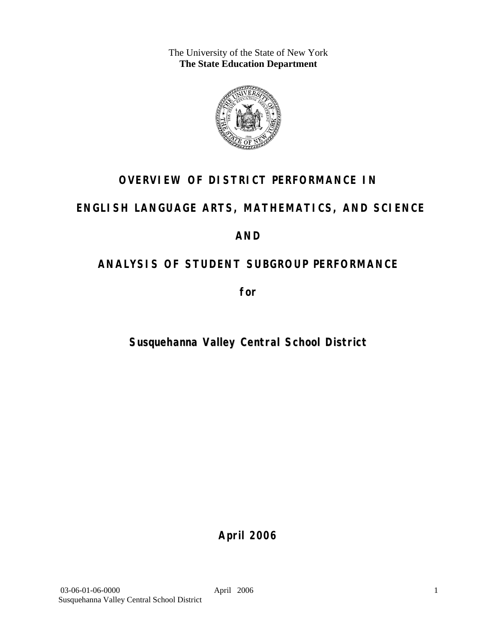The University of the State of New York **The State Education Department** 



# **OVERVIEW OF DISTRICT PERFORMANCE IN**

# **ENGLISH LANGUAGE ARTS, MATHEMATICS, AND SCIENCE**

# **AND**

# **ANALYSIS OF STUDENT SUBGROUP PERFORMANCE**

**for** 

# **Susquehanna Valley Central School District**

**April 2006**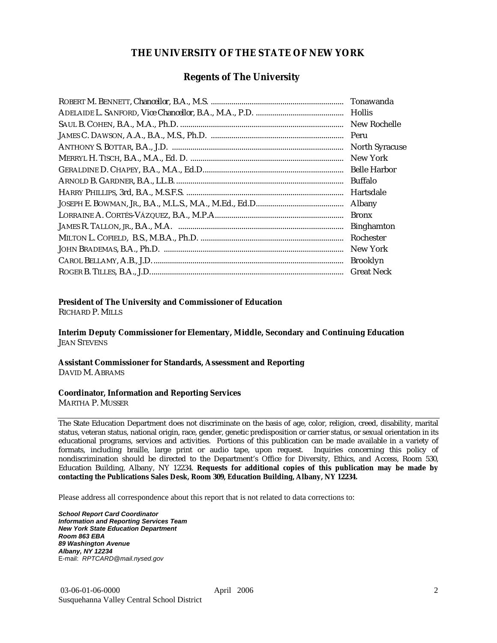### **THE UNIVERSITY OF THE STATE OF NEW YORK**

### **Regents of The University**

| Hollis                |
|-----------------------|
| New Rochelle          |
|                       |
| <b>North Syracuse</b> |
| New York              |
|                       |
| Buffalo               |
| Hartsdale             |
| Albany                |
| <b>Bronx</b>          |
| <b>Binghamton</b>     |
| Rochester             |
| New York              |
| <b>Brooklyn</b>       |
| <b>Great Neck</b>     |

### **President of The University and Commissioner of Education**

RICHARD P. MILLS

**Interim Deputy Commissioner for Elementary, Middle, Secondary and Continuing Education**  JEAN STEVENS

#### **Assistant Commissioner for Standards, Assessment and Reporting**  DAVID M. ABRAMS

#### **Coordinator, Information and Reporting Services**

MARTHA P. MUSSER

The State Education Department does not discriminate on the basis of age, color, religion, creed, disability, marital status, veteran status, national origin, race, gender, genetic predisposition or carrier status, or sexual orientation in its educational programs, services and activities. Portions of this publication can be made available in a variety of formats, including braille, large print or audio tape, upon request. Inquiries concerning this policy of nondiscrimination should be directed to the Department's Office for Diversity, Ethics, and Access, Room 530, Education Building, Albany, NY 12234. **Requests for additional copies of this publication may be made by contacting the Publications Sales Desk, Room 309, Education Building, Albany, NY 12234.** 

Please address all correspondence about this report that is not related to data corrections to:

*School Report Card Coordinator Information and Reporting Services Team New York State Education Department Room 863 EBA 89 Washington Avenue Albany, NY 12234*  E-mail: *RPTCARD@mail.nysed.gov*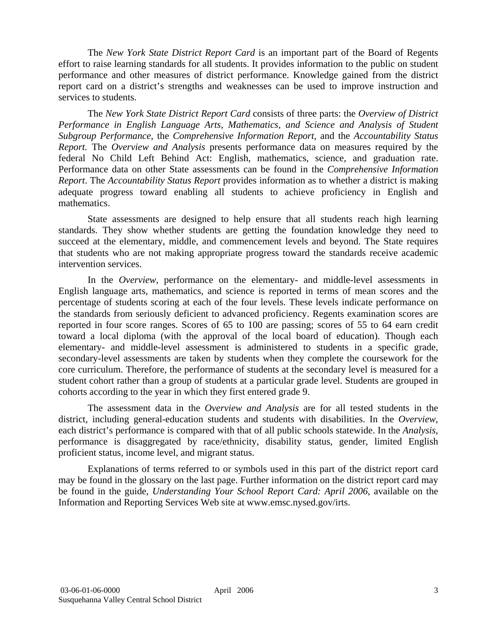The *New York State District Report Card* is an important part of the Board of Regents effort to raise learning standards for all students. It provides information to the public on student performance and other measures of district performance. Knowledge gained from the district report card on a district's strengths and weaknesses can be used to improve instruction and services to students.

The *New York State District Report Card* consists of three parts: the *Overview of District Performance in English Language Arts, Mathematics, and Science and Analysis of Student Subgroup Performance,* the *Comprehensive Information Report,* and the *Accountability Status Report.* The *Overview and Analysis* presents performance data on measures required by the federal No Child Left Behind Act: English, mathematics, science, and graduation rate. Performance data on other State assessments can be found in the *Comprehensive Information Report*. The *Accountability Status Report* provides information as to whether a district is making adequate progress toward enabling all students to achieve proficiency in English and mathematics.

State assessments are designed to help ensure that all students reach high learning standards. They show whether students are getting the foundation knowledge they need to succeed at the elementary, middle, and commencement levels and beyond. The State requires that students who are not making appropriate progress toward the standards receive academic intervention services.

In the *Overview*, performance on the elementary- and middle-level assessments in English language arts, mathematics, and science is reported in terms of mean scores and the percentage of students scoring at each of the four levels. These levels indicate performance on the standards from seriously deficient to advanced proficiency. Regents examination scores are reported in four score ranges. Scores of 65 to 100 are passing; scores of 55 to 64 earn credit toward a local diploma (with the approval of the local board of education). Though each elementary- and middle-level assessment is administered to students in a specific grade, secondary-level assessments are taken by students when they complete the coursework for the core curriculum. Therefore, the performance of students at the secondary level is measured for a student cohort rather than a group of students at a particular grade level. Students are grouped in cohorts according to the year in which they first entered grade 9.

The assessment data in the *Overview and Analysis* are for all tested students in the district, including general-education students and students with disabilities. In the *Overview*, each district's performance is compared with that of all public schools statewide. In the *Analysis*, performance is disaggregated by race/ethnicity, disability status, gender, limited English proficient status, income level, and migrant status.

Explanations of terms referred to or symbols used in this part of the district report card may be found in the glossary on the last page. Further information on the district report card may be found in the guide, *Understanding Your School Report Card: April 2006*, available on the Information and Reporting Services Web site at www.emsc.nysed.gov/irts.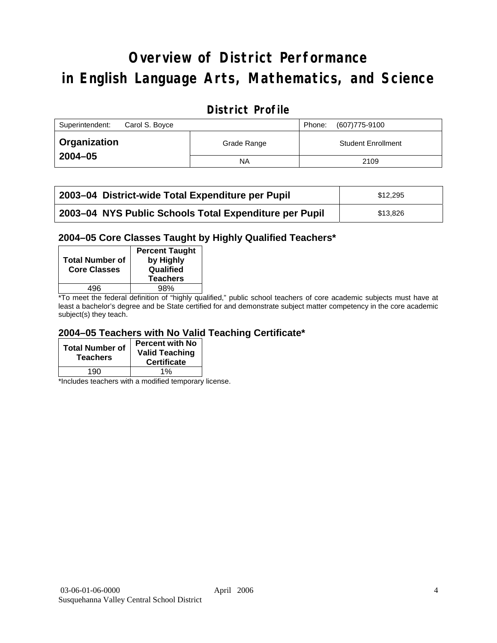# **Overview of District Performance in English Language Arts, Mathematics, and Science**

# **District Profile**

| Superintendent:<br>Carol S. Boyce |             | (607) 775-9100<br>Phone:  |
|-----------------------------------|-------------|---------------------------|
| Organization                      | Grade Range | <b>Student Enrollment</b> |
| $2004 - 05$                       | NA          | 2109                      |

| 2003-04 District-wide Total Expenditure per Pupil      | \$12.295 |
|--------------------------------------------------------|----------|
| 2003-04 NYS Public Schools Total Expenditure per Pupil | \$13.826 |

### **2004–05 Core Classes Taught by Highly Qualified Teachers\***

| <b>Total Number of</b><br><b>Core Classes</b> | <b>Percent Taught</b><br>by Highly<br>Qualified<br><b>Teachers</b> |
|-----------------------------------------------|--------------------------------------------------------------------|
| 496                                           | 98%                                                                |
|                                               |                                                                    |

\*To meet the federal definition of "highly qualified," public school teachers of core academic subjects must have at least a bachelor's degree and be State certified for and demonstrate subject matter competency in the core academic subject(s) they teach.

### **2004–05 Teachers with No Valid Teaching Certificate\***

| <b>Total Number of</b><br><b>Teachers</b> | <b>Percent with No</b><br><b>Valid Teaching</b><br><b>Certificate</b> |
|-------------------------------------------|-----------------------------------------------------------------------|
| 190                                       | 1%                                                                    |

\*Includes teachers with a modified temporary license.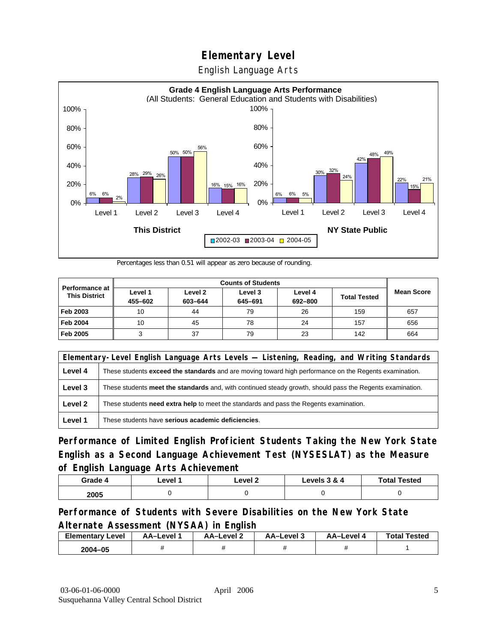English Language Arts



Percentages less than 0.51 will appear as zero because of rounding.

|                                               | <b>Counts of Students</b> |                    |                    |                    |                     |                   |
|-----------------------------------------------|---------------------------|--------------------|--------------------|--------------------|---------------------|-------------------|
| <b>Performance at</b><br><b>This District</b> | Level 1<br>455-602        | Level 2<br>603-644 | Level 3<br>645-691 | Level 4<br>692-800 | <b>Total Tested</b> | <b>Mean Score</b> |
| Feb 2003                                      | 10                        | 44                 | 79                 | 26                 | 159                 | 657               |
| <b>Feb 2004</b>                               | 10                        | 45                 | 78                 | 24                 | 157                 | 656               |
| Feb 2005                                      |                           | 37                 | 79                 | 23                 | 142                 | 664               |

|         | Elementary-Level English Language Arts Levels — Listening, Reading, and Writing Standards                 |  |  |  |
|---------|-----------------------------------------------------------------------------------------------------------|--|--|--|
| Level 4 | These students exceed the standards and are moving toward high performance on the Regents examination.    |  |  |  |
| Level 3 | These students meet the standards and, with continued steady growth, should pass the Regents examination. |  |  |  |
| Level 2 | These students need extra help to meet the standards and pass the Regents examination.                    |  |  |  |
| Level 1 | These students have serious academic deficiencies.                                                        |  |  |  |

**Performance of Limited English Proficient Students Taking the New York State English as a Second Language Achievement Test (NYSESLAT) as the Measure of English Language Arts Achievement**

| Grade 4 | _evel ′ | Level 2 | Levels 3 & 4 | <b>Total Tested</b> |
|---------|---------|---------|--------------|---------------------|
| 2005    |         |         |              |                     |

### **Performance of Students with Severe Disabilities on the New York State Alternate Assessment (NYSAA) in English**

| <b>Elementary</b><br>∵Level | AA-Level | AA-Level 2 | AA-Level 3 | AA-Level | <b>Total Tested</b> |
|-----------------------------|----------|------------|------------|----------|---------------------|
| 2004-05                     |          |            |            |          |                     |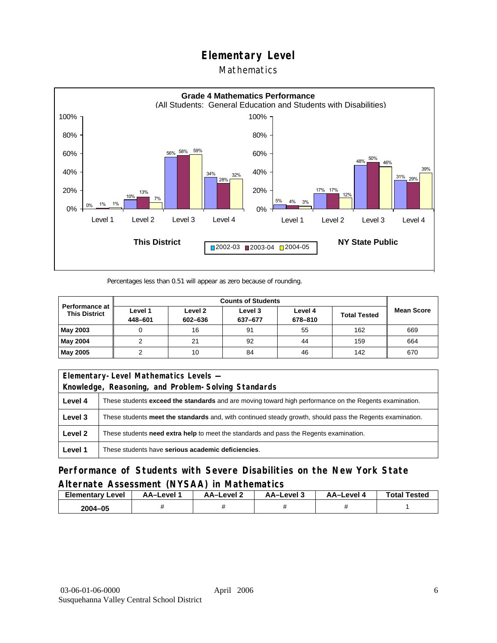## Mathematics



Percentages less than 0.51 will appear as zero because of rounding.

|                                               | <b>Counts of Students</b> |                    |                    |                    |                     |                   |
|-----------------------------------------------|---------------------------|--------------------|--------------------|--------------------|---------------------|-------------------|
| <b>Performance at</b><br><b>This District</b> | Level 1<br>448-601        | Level 2<br>602-636 | Level 3<br>637-677 | Level 4<br>678-810 | <b>Total Tested</b> | <b>Mean Score</b> |
| May 2003                                      |                           | 16                 | 91                 | 55                 | 162                 | 669               |
| May 2004                                      |                           | 21                 | 92                 | 44                 | 159                 | 664               |
| May 2005                                      |                           | 10                 | 84                 | 46                 | 142                 | 670               |

|         | Elementary-Level Mathematics Levels -                                                                         |  |  |  |  |
|---------|---------------------------------------------------------------------------------------------------------------|--|--|--|--|
|         | Knowledge, Reasoning, and Problem-Solving Standards                                                           |  |  |  |  |
| Level 4 | These students <b>exceed the standards</b> and are moving toward high performance on the Regents examination. |  |  |  |  |
| Level 3 | These students meet the standards and, with continued steady growth, should pass the Regents examination.     |  |  |  |  |
| Level 2 | These students <b>need extra help</b> to meet the standards and pass the Regents examination.                 |  |  |  |  |
| Level 1 | These students have serious academic deficiencies.                                                            |  |  |  |  |

**Performance of Students with Severe Disabilities on the New York State Alternate Assessment (NYSAA) in Mathematics** 

| <b>Elementary</b><br>Level | AA-Level | – AA–Level ∠ | د AA–Level | AA-Level 4 | <b>Total Tested</b> |
|----------------------------|----------|--------------|------------|------------|---------------------|
| 2004-05                    |          |              |            |            |                     |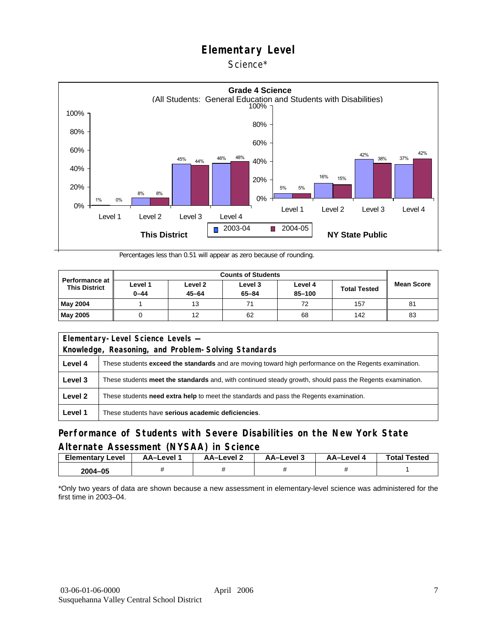### Science\*



Percentages less than 0.51 will appear as zero because of rounding.

| <b>Performance at</b><br><b>This District</b> |                     |                      |                      |                   |                     |                   |
|-----------------------------------------------|---------------------|----------------------|----------------------|-------------------|---------------------|-------------------|
|                                               | Level 1<br>$0 - 44$ | Level 2<br>$45 - 64$ | Level 3<br>$65 - 84$ | Level 4<br>85-100 | <b>Total Tested</b> | <b>Mean Score</b> |
| <b>May 2004</b>                               |                     | 13                   |                      | 72                | 157                 | 81                |
| <b>May 2005</b>                               |                     | 12                   | 62                   | 68                | 142                 | 83                |

| Elementary-Level Science Levels -                   |                                                                                                               |  |  |  |
|-----------------------------------------------------|---------------------------------------------------------------------------------------------------------------|--|--|--|
| Knowledge, Reasoning, and Problem-Solving Standards |                                                                                                               |  |  |  |
| Level 4                                             | These students <b>exceed the standards</b> and are moving toward high performance on the Regents examination. |  |  |  |
| Level 3                                             | These students meet the standards and, with continued steady growth, should pass the Regents examination.     |  |  |  |
| Level 2                                             | These students <b>need extra help</b> to meet the standards and pass the Regents examination.                 |  |  |  |
| Level 1                                             | These students have serious academic deficiencies.                                                            |  |  |  |

### **Performance of Students with Severe Disabilities on the New York State Alternate Assessment (NYSAA) in Science**

| <b>Elementary Level</b> | AA-Level | AA-Level 2 | د AA–Level | AA–Level 4 | <b>Total Tested</b> |
|-------------------------|----------|------------|------------|------------|---------------------|
| 2004-05                 |          |            |            |            |                     |

\*Only two years of data are shown because a new assessment in elementary-level science was administered for the first time in 2003–04.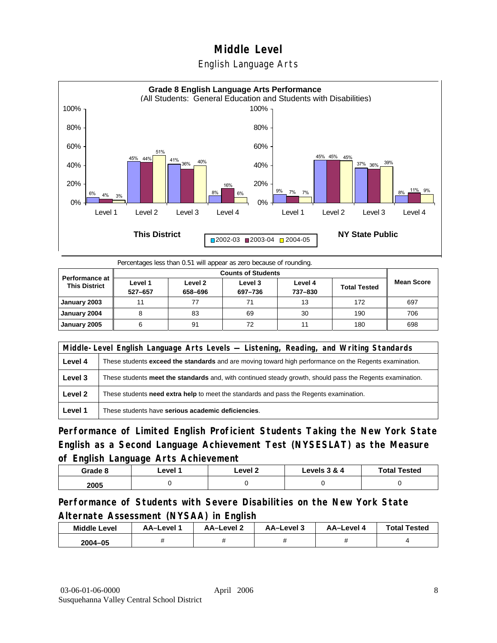



|  | Percentages less than 0.51 will appear as zero because of rounding. |
|--|---------------------------------------------------------------------|
|  |                                                                     |
|  |                                                                     |
|  |                                                                     |

| <b>Performance at</b><br><b>This District</b> | Level 1<br>527-657 | Level 2<br>658-696 | Level 3<br>697-736 | Level 4<br>737-830 | <b>Total Tested</b> | <b>Mean Score</b> |
|-----------------------------------------------|--------------------|--------------------|--------------------|--------------------|---------------------|-------------------|
| January 2003                                  | 11                 |                    |                    | 13                 | 172                 | 697               |
| January 2004                                  |                    | 83                 | 69                 | 30                 | 190                 | 706               |
| January 2005                                  | 6                  | 91                 | 72                 | 11                 | 180                 | 698               |

|         | Middle-Level English Language Arts Levels — Listening, Reading, and Writing Standards                     |  |  |  |  |
|---------|-----------------------------------------------------------------------------------------------------------|--|--|--|--|
| Level 4 | These students exceed the standards and are moving toward high performance on the Regents examination.    |  |  |  |  |
| Level 3 | These students meet the standards and, with continued steady growth, should pass the Regents examination. |  |  |  |  |
| Level 2 | These students <b>need extra help</b> to meet the standards and pass the Regents examination.             |  |  |  |  |
| Level 1 | These students have serious academic deficiencies.                                                        |  |  |  |  |

**Performance of Limited English Proficient Students Taking the New York State English as a Second Language Achievement Test (NYSESLAT) as the Measure of English Language Arts Achievement**

| Grade 8 | ∟evel <i>*</i> |  | Levels 3 & 4 | <b>Total Tested</b> |
|---------|----------------|--|--------------|---------------------|
| 2005    |                |  |              |                     |

**Performance of Students with Severe Disabilities on the New York State Alternate Assessment (NYSAA) in English** 

| <b>Middle Level</b> | <b>AA-Level</b> | AA-Level 2 | AA-Level 3 | AA-Level 4 | <b>Total Tested</b> |
|---------------------|-----------------|------------|------------|------------|---------------------|
| 2004-05             |                 |            |            |            |                     |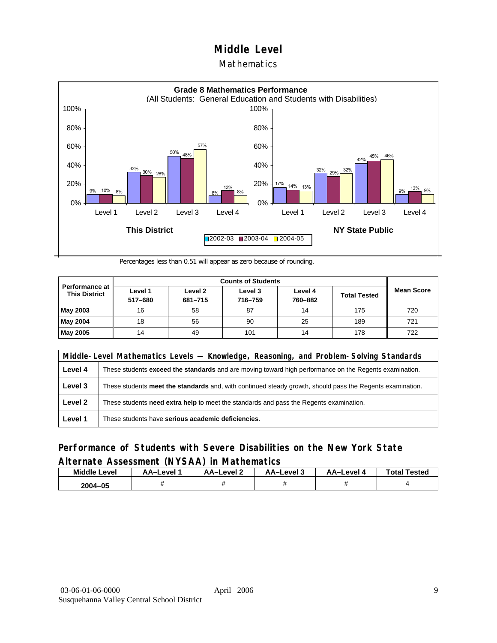### **Mathematics**



Percentages less than 0.51 will appear as zero because of rounding.

| Performance at I<br><b>This District</b> | Level 1<br>517-680 | Level 2<br>681-715 | Level 3<br>716-759 | Level 4<br>760-882 | <b>Total Tested</b> | <b>Mean Score</b> |
|------------------------------------------|--------------------|--------------------|--------------------|--------------------|---------------------|-------------------|
| May 2003                                 | 16                 | 58                 | 87                 | 14                 | 175                 | 720               |
| May 2004                                 | 18                 | 56                 | 90                 | 25                 | 189                 | 721               |
| May 2005                                 | 14                 | 49                 | 101                | 14                 | 178                 | 722               |

|         | Middle-Level Mathematics Levels — Knowledge, Reasoning, and Problem-Solving Standards                         |  |  |  |  |
|---------|---------------------------------------------------------------------------------------------------------------|--|--|--|--|
| Level 4 | These students <b>exceed the standards</b> and are moving toward high performance on the Regents examination. |  |  |  |  |
| Level 3 | These students meet the standards and, with continued steady growth, should pass the Regents examination.     |  |  |  |  |
| Level 2 | These students need extra help to meet the standards and pass the Regents examination.                        |  |  |  |  |
| Level 1 | These students have serious academic deficiencies.                                                            |  |  |  |  |

### **Performance of Students with Severe Disabilities on the New York State Alternate Assessment (NYSAA) in Mathematics**

| <b>Middle Level</b> | AA-Level | <b>AA-Level 2</b> | AA-Level 3 | AA–Level 4 | <b>Total Tested</b> |
|---------------------|----------|-------------------|------------|------------|---------------------|
| 2004-05             |          |                   |            |            |                     |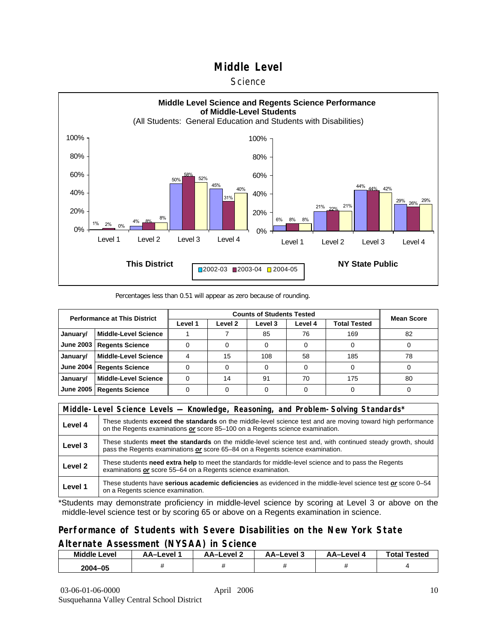#### **Science**



#### Percentages less than 0.51 will appear as zero because of rounding.

| <b>Performance at This District</b> |                             |         | <b>Mean Score</b> |         |         |                     |    |
|-------------------------------------|-----------------------------|---------|-------------------|---------|---------|---------------------|----|
|                                     |                             | Level 1 | Level 2           | Level 3 | Level 4 | <b>Total Tested</b> |    |
| January/                            | <b>Middle-Level Science</b> |         |                   | 85      | 76      | 169                 | 82 |
| <b>June 2003</b>                    | <b>Regents Science</b>      |         |                   |         |         |                     |    |
| January/                            | <b>Middle-Level Science</b> |         | 15                | 108     | 58      | 185                 | 78 |
| <b>June 2004</b>                    | <b>Regents Science</b>      |         |                   |         |         |                     |    |
| January/                            | <b>Middle-Level Science</b> |         | 14                | 91      | 70      | 175                 | 80 |
| June 2005                           | <b>Regents Science</b>      |         |                   |         |         |                     |    |

|         | Middle-Level Science Levels — Knowledge, Reasoning, and Problem-Solving Standards*                                                                                                                  |
|---------|-----------------------------------------------------------------------------------------------------------------------------------------------------------------------------------------------------|
| Level 4 | These students <b>exceed the standards</b> on the middle-level science test and are moving toward high performance<br>on the Regents examinations or score 85-100 on a Regents science examination. |
| Level 3 | These students meet the standards on the middle-level science test and, with continued steady growth, should<br>pass the Regents examinations or score 65–84 on a Regents science examination.      |
| Level 2 | These students need extra help to meet the standards for middle-level science and to pass the Regents<br>examinations or score 55–64 on a Regents science examination.                              |
| Level 1 | These students have serious academic deficiencies as evidenced in the middle-level science test or score 0-54<br>on a Regents science examination.                                                  |

\*Students may demonstrate proficiency in middle-level science by scoring at Level 3 or above on the middle-level science test or by scoring 65 or above on a Regents examination in science.

### **Performance of Students with Severe Disabilities on the New York State Alternate Assessment (NYSAA) in Science**

| <b>Middle Level</b> | AA-Level | AA-Level 2 | AA–Level 3 | AA-Level 4 | <b>Total Tested</b> |  |
|---------------------|----------|------------|------------|------------|---------------------|--|
| 2004-05             |          |            |            |            |                     |  |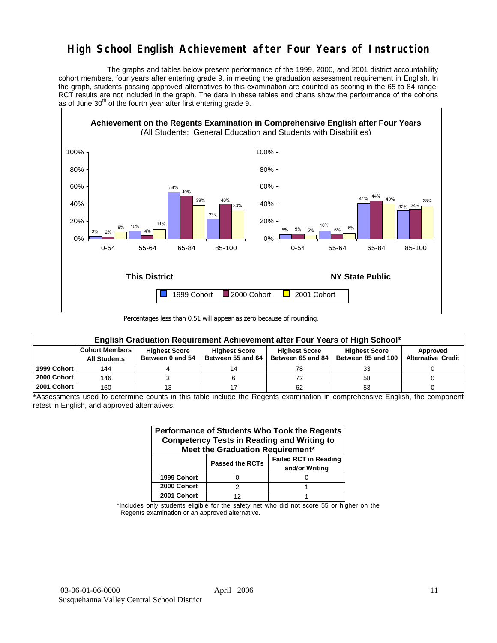# **High School English Achievement after Four Years of Instruction**

 The graphs and tables below present performance of the 1999, 2000, and 2001 district accountability cohort members, four years after entering grade 9, in meeting the graduation assessment requirement in English. In the graph, students passing approved alternatives to this examination are counted as scoring in the 65 to 84 range. RCT results are not included in the graph. The data in these tables and charts show the performance of the cohorts as of June  $30<sup>th</sup>$  of the fourth year after first entering grade 9.



Percentages less than 0.51 will appear as zero because of rounding.

| English Graduation Requirement Achievement after Four Years of High School* |                                                                                                                                                                                                                       |  |  |    |    |                           |  |  |  |  |
|-----------------------------------------------------------------------------|-----------------------------------------------------------------------------------------------------------------------------------------------------------------------------------------------------------------------|--|--|----|----|---------------------------|--|--|--|--|
|                                                                             | <b>Cohort Members</b><br><b>Highest Score</b><br><b>Highest Score</b><br><b>Highest Score</b><br><b>Highest Score</b><br>Approved<br>Between 85 and 100<br>Between 55 and 64<br>Between 65 and 84<br>Between 0 and 54 |  |  |    |    |                           |  |  |  |  |
|                                                                             | <b>All Students</b>                                                                                                                                                                                                   |  |  |    |    | <b>Alternative Credit</b> |  |  |  |  |
| 1999 Cohort                                                                 | 144                                                                                                                                                                                                                   |  |  | 78 | 33 |                           |  |  |  |  |
| 2000 Cohort                                                                 | 146                                                                                                                                                                                                                   |  |  | 72 | 58 |                           |  |  |  |  |
| 2001 Cohort                                                                 | 160                                                                                                                                                                                                                   |  |  | 62 | 53 |                           |  |  |  |  |

\*Assessments used to determine counts in this table include the Regents examination in comprehensive English, the component retest in English, and approved alternatives.

| Performance of Students Who Took the Regents<br><b>Competency Tests in Reading and Writing to</b><br>Meet the Graduation Requirement* |   |  |  |  |  |  |  |  |  |
|---------------------------------------------------------------------------------------------------------------------------------------|---|--|--|--|--|--|--|--|--|
| <b>Failed RCT in Reading</b><br><b>Passed the RCTs</b><br>and/or Writing                                                              |   |  |  |  |  |  |  |  |  |
| 1999 Cohort                                                                                                                           |   |  |  |  |  |  |  |  |  |
| 2000 Cohort                                                                                                                           | っ |  |  |  |  |  |  |  |  |
| 2001 Cohort                                                                                                                           |   |  |  |  |  |  |  |  |  |

\*Includes only students eligible for the safety net who did not score 55 or higher on the Regents examination or an approved alternative.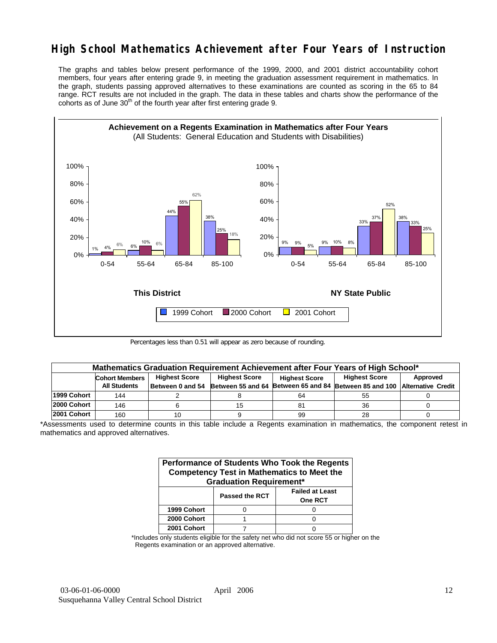# **High School Mathematics Achievement after Four Years of Instruction**

The graphs and tables below present performance of the 1999, 2000, and 2001 district accountability cohort members, four years after entering grade 9, in meeting the graduation assessment requirement in mathematics. In the graph, students passing approved alternatives to these examinations are counted as scoring in the 65 to 84 range. RCT results are not included in the graph. The data in these tables and charts show the performance of the cohorts as of June  $30<sup>th</sup>$  of the fourth year after first entering grade 9.



Percentages less than 0.51 will appear as zero because of rounding.

|             | Mathematics Graduation Requirement Achievement after Four Years of High School*                                                   |  |    |     |                                                                                            |  |  |  |  |  |  |
|-------------|-----------------------------------------------------------------------------------------------------------------------------------|--|----|-----|--------------------------------------------------------------------------------------------|--|--|--|--|--|--|
|             | <b>Highest Score</b><br><b>Highest Score</b><br><b>Highest Score</b><br>Approved<br><b>Cohort Members</b><br><b>Highest Score</b> |  |    |     |                                                                                            |  |  |  |  |  |  |
|             | <b>All Students</b>                                                                                                               |  |    |     | Between 0 and 54 Between 55 and 64 Between 65 and 84 Between 85 and 100 Alternative Credit |  |  |  |  |  |  |
| 1999 Cohort | 144                                                                                                                               |  |    | 64  | 55                                                                                         |  |  |  |  |  |  |
| 2000 Cohort | 146                                                                                                                               |  | 15 | -81 | 36                                                                                         |  |  |  |  |  |  |
| 2001 Cohort | 160                                                                                                                               |  |    | 99  | 28                                                                                         |  |  |  |  |  |  |

\*Assessments used to determine counts in this table include a Regents examination in mathematics, the component retest in mathematics and approved alternatives.

| Performance of Students Who Took the Regents<br><b>Competency Test in Mathematics to Meet the</b><br><b>Graduation Requirement*</b> |  |  |  |  |  |  |  |
|-------------------------------------------------------------------------------------------------------------------------------------|--|--|--|--|--|--|--|
| <b>Failed at Least</b><br><b>Passed the RCT</b><br><b>One RCT</b>                                                                   |  |  |  |  |  |  |  |
| 1999 Cohort                                                                                                                         |  |  |  |  |  |  |  |
| 2000 Cohort                                                                                                                         |  |  |  |  |  |  |  |
| 2001 Cohort                                                                                                                         |  |  |  |  |  |  |  |

\*Includes only students eligible for the safety net who did not score 55 or higher on the Regents examination or an approved alternative.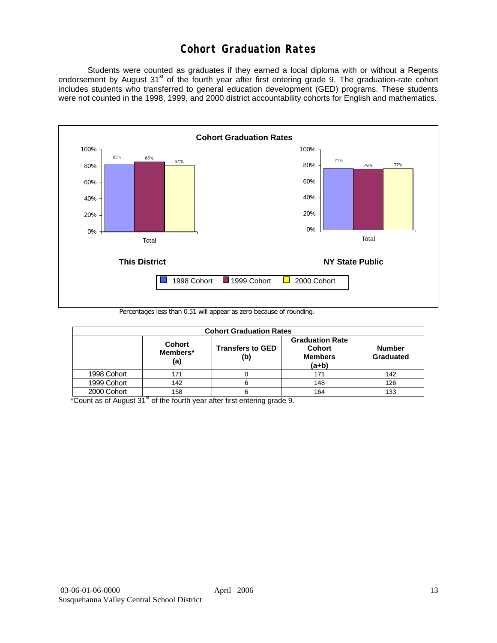# **Cohort Graduation Rates**

 Students were counted as graduates if they earned a local diploma with or without a Regents endorsement by August 31<sup>st</sup> of the fourth year after first entering grade 9. The graduation-rate cohort includes students who transferred to general education development (GED) programs. These students were not counted in the 1998, 1999, and 2000 district accountability cohorts for English and mathematics.



Percentages less than 0.51 will appear as zero because of rounding.

|             | <b>Cohort Graduation Rates</b>   |                                |                                                                      |                            |  |  |  |  |  |  |
|-------------|----------------------------------|--------------------------------|----------------------------------------------------------------------|----------------------------|--|--|--|--|--|--|
|             | <b>Cohort</b><br>Members*<br>(a) | <b>Transfers to GED</b><br>(b) | <b>Graduation Rate</b><br><b>Cohort</b><br><b>Members</b><br>$(a+b)$ | <b>Number</b><br>Graduated |  |  |  |  |  |  |
| 1998 Cohort | 171                              |                                | 171                                                                  | 142                        |  |  |  |  |  |  |
| 1999 Cohort | 142                              |                                | 148                                                                  | 126                        |  |  |  |  |  |  |
| 2000 Cohort | 158                              |                                | 164                                                                  | 133                        |  |  |  |  |  |  |

 $*$ Count as of August 31 $*$  of the fourth year after first entering grade 9.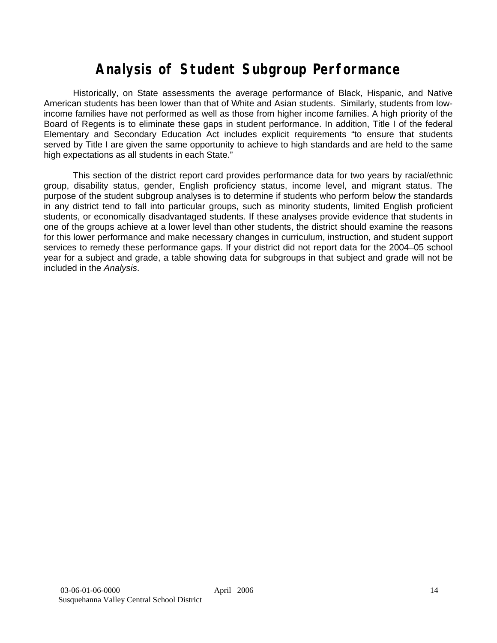# **Analysis of Student Subgroup Performance**

Historically, on State assessments the average performance of Black, Hispanic, and Native American students has been lower than that of White and Asian students. Similarly, students from lowincome families have not performed as well as those from higher income families. A high priority of the Board of Regents is to eliminate these gaps in student performance. In addition, Title I of the federal Elementary and Secondary Education Act includes explicit requirements "to ensure that students served by Title I are given the same opportunity to achieve to high standards and are held to the same high expectations as all students in each State."

This section of the district report card provides performance data for two years by racial/ethnic group, disability status, gender, English proficiency status, income level, and migrant status. The purpose of the student subgroup analyses is to determine if students who perform below the standards in any district tend to fall into particular groups, such as minority students, limited English proficient students, or economically disadvantaged students. If these analyses provide evidence that students in one of the groups achieve at a lower level than other students, the district should examine the reasons for this lower performance and make necessary changes in curriculum, instruction, and student support services to remedy these performance gaps. If your district did not report data for the 2004–05 school year for a subject and grade, a table showing data for subgroups in that subject and grade will not be included in the *Analysis*.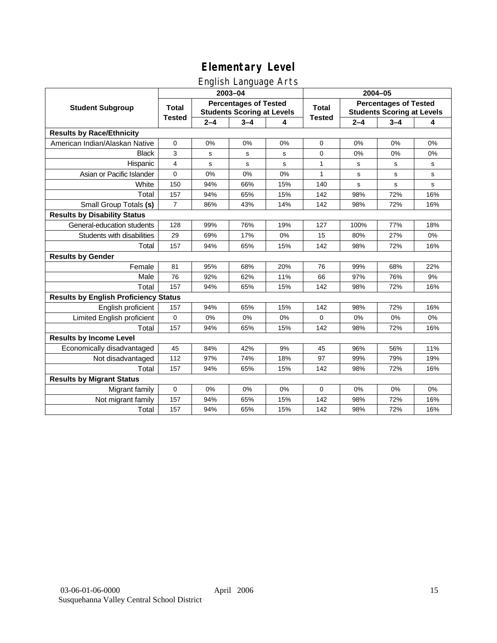# English Language Arts

|                                              |                |         | ັ<br>2003-04                                                      |     | 2004-05        |                                                                   |         |     |
|----------------------------------------------|----------------|---------|-------------------------------------------------------------------|-----|----------------|-------------------------------------------------------------------|---------|-----|
| <b>Student Subgroup</b>                      | <b>Total</b>   |         | <b>Percentages of Tested</b><br><b>Students Scoring at Levels</b> |     | <b>Total</b>   | <b>Percentages of Tested</b><br><b>Students Scoring at Levels</b> |         |     |
|                                              | <b>Tested</b>  | $2 - 4$ | $3 - 4$                                                           | 4   | <b>Tested</b>  | $2 - 4$                                                           | $3 - 4$ | 4   |
| <b>Results by Race/Ethnicity</b>             |                |         |                                                                   |     |                |                                                                   |         |     |
| American Indian/Alaskan Native               | $\pmb{0}$      | 0%      | 0%                                                                | 0%  | $\mathbf 0$    | 0%                                                                | 0%      | 0%  |
| <b>Black</b>                                 | 3              | s       | s                                                                 | s   | 0              | 0%                                                                | 0%      | 0%  |
| Hispanic                                     | $\overline{4}$ | s       | s                                                                 | s   | $\mathbf{1}$   | s                                                                 | s       | s   |
| Asian or Pacific Islander                    | $\pmb{0}$      | 0%      | 0%                                                                | 0%  | $\mathbf{1}$   | s                                                                 | s       | s   |
| White                                        | 150            | 94%     | 66%                                                               | 15% | 140            | s                                                                 | s       | s   |
| Total                                        | 157            | 94%     | 65%                                                               | 15% | 142            | 98%                                                               | 72%     | 16% |
| Small Group Totals (s)                       | $\overline{7}$ | 86%     | 43%                                                               | 14% | 142            | 98%                                                               | 72%     | 16% |
| <b>Results by Disability Status</b>          |                |         |                                                                   |     |                |                                                                   |         |     |
| General-education students                   | 128            | 99%     | 76%                                                               | 19% | 127            | 100%                                                              | 77%     | 18% |
| Students with disabilities                   | 29             | 69%     | 17%                                                               | 0%  | 15             | 80%                                                               | 27%     | 0%  |
| Total                                        | 157            | 94%     | 65%                                                               | 15% | 142            | 98%                                                               | 72%     | 16% |
| <b>Results by Gender</b>                     |                |         |                                                                   |     |                |                                                                   |         |     |
| Female                                       | 81             | 95%     | 68%                                                               | 20% | 76             | 99%                                                               | 68%     | 22% |
| Male                                         | 76             | 92%     | 62%                                                               | 11% | 66             | 97%                                                               | 76%     | 9%  |
| Total                                        | 157            | 94%     | 65%                                                               | 15% | 142            | 98%                                                               | 72%     | 16% |
| <b>Results by English Proficiency Status</b> |                |         |                                                                   |     |                |                                                                   |         |     |
| English proficient                           | 157            | 94%     | 65%                                                               | 15% | 142            | 98%                                                               | 72%     | 16% |
| Limited English proficient                   | $\mathbf{0}$   | 0%      | 0%                                                                | 0%  | $\overline{0}$ | 0%                                                                | 0%      | 0%  |
| Total                                        | 157            | 94%     | 65%                                                               | 15% | 142            | 98%                                                               | 72%     | 16% |
| <b>Results by Income Level</b>               |                |         |                                                                   |     |                |                                                                   |         |     |
| Economically disadvantaged                   | 45             | 84%     | 42%                                                               | 9%  | 45             | 96%                                                               | 56%     | 11% |
| Not disadvantaged                            | 112            | 97%     | 74%                                                               | 18% | 97             | 99%                                                               | 79%     | 19% |
| Total                                        | 157            | 94%     | 65%                                                               | 15% | 142            | 98%                                                               | 72%     | 16% |
| <b>Results by Migrant Status</b>             |                |         |                                                                   |     |                |                                                                   |         |     |
| Migrant family                               | $\mathbf{0}$   | 0%      | 0%                                                                | 0%  | $\mathbf 0$    | 0%                                                                | 0%      | 0%  |
| Not migrant family                           | 157            | 94%     | 65%                                                               | 15% | 142            | 98%                                                               | 72%     | 16% |
| Total                                        | 157            | 94%     | 65%                                                               | 15% | 142            | 98%                                                               | 72%     | 16% |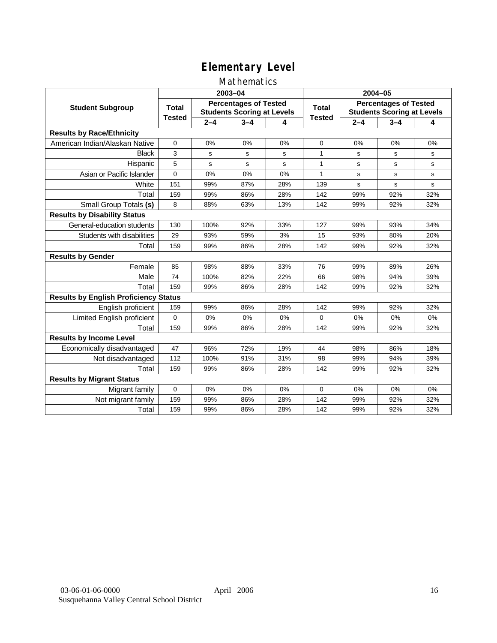### Mathematics

|                                              | 2003-04       |         |                                                                   |     | 2004-05       |                                                                   |         |             |
|----------------------------------------------|---------------|---------|-------------------------------------------------------------------|-----|---------------|-------------------------------------------------------------------|---------|-------------|
| <b>Student Subgroup</b>                      | <b>Total</b>  |         | <b>Percentages of Tested</b><br><b>Students Scoring at Levels</b> |     | Total         | <b>Percentages of Tested</b><br><b>Students Scoring at Levels</b> |         |             |
|                                              | <b>Tested</b> | $2 - 4$ | $3 - 4$                                                           | 4   | <b>Tested</b> | $2 - 4$                                                           | $3 - 4$ | 4           |
| <b>Results by Race/Ethnicity</b>             |               |         |                                                                   |     |               |                                                                   |         |             |
| American Indian/Alaskan Native               | $\mathbf 0$   | 0%      | 0%                                                                | 0%  | 0             | 0%                                                                | 0%      | 0%          |
| <b>Black</b>                                 | 3             | s       | s                                                                 | s   | 1             | s                                                                 | s       | s           |
| Hispanic                                     | 5             | s       | $\mathbf s$                                                       | s   | $\mathbf{1}$  | s                                                                 | s       | s           |
| Asian or Pacific Islander                    | 0             | 0%      | 0%                                                                | 0%  | $\mathbf{1}$  | s                                                                 | s       | s           |
| White                                        | 151           | 99%     | 87%                                                               | 28% | 139           | $\mathbf s$                                                       | s       | $\mathbf s$ |
| Total                                        | 159           | 99%     | 86%                                                               | 28% | 142           | 99%                                                               | 92%     | 32%         |
| Small Group Totals (s)                       | 8             | 88%     | 63%                                                               | 13% | 142           | 99%                                                               | 92%     | 32%         |
| <b>Results by Disability Status</b>          |               |         |                                                                   |     |               |                                                                   |         |             |
| General-education students                   | 130           | 100%    | 92%                                                               | 33% | 127           | 99%                                                               | 93%     | 34%         |
| Students with disabilities                   | 29            | 93%     | 59%                                                               | 3%  | 15            | 93%                                                               | 80%     | 20%         |
| Total                                        | 159           | 99%     | 86%                                                               | 28% | 142           | 99%                                                               | 92%     | 32%         |
| <b>Results by Gender</b>                     |               |         |                                                                   |     |               |                                                                   |         |             |
| Female                                       | 85            | 98%     | 88%                                                               | 33% | 76            | 99%                                                               | 89%     | 26%         |
| Male                                         | 74            | 100%    | 82%                                                               | 22% | 66            | 98%                                                               | 94%     | 39%         |
| Total                                        | 159           | 99%     | 86%                                                               | 28% | 142           | 99%                                                               | 92%     | 32%         |
| <b>Results by English Proficiency Status</b> |               |         |                                                                   |     |               |                                                                   |         |             |
| English proficient                           | 159           | 99%     | 86%                                                               | 28% | 142           | 99%                                                               | 92%     | 32%         |
| Limited English proficient                   | $\Omega$      | 0%      | 0%                                                                | 0%  | $\Omega$      | 0%                                                                | 0%      | 0%          |
| Total                                        | 159           | 99%     | 86%                                                               | 28% | 142           | 99%                                                               | 92%     | 32%         |
| <b>Results by Income Level</b>               |               |         |                                                                   |     |               |                                                                   |         |             |
| Economically disadvantaged                   | 47            | 96%     | 72%                                                               | 19% | 44            | 98%                                                               | 86%     | 18%         |
| Not disadvantaged                            | 112           | 100%    | 91%                                                               | 31% | 98            | 99%                                                               | 94%     | 39%         |
| Total                                        | 159           | 99%     | 86%                                                               | 28% | 142           | 99%                                                               | 92%     | 32%         |
| <b>Results by Migrant Status</b>             |               |         |                                                                   |     |               |                                                                   |         |             |
| Migrant family                               | 0             | 0%      | 0%                                                                | 0%  | $\Omega$      | 0%                                                                | 0%      | 0%          |
| Not migrant family                           | 159           | 99%     | 86%                                                               | 28% | 142           | 99%                                                               | 92%     | 32%         |
| Total                                        | 159           | 99%     | 86%                                                               | 28% | 142           | 99%                                                               | 92%     | 32%         |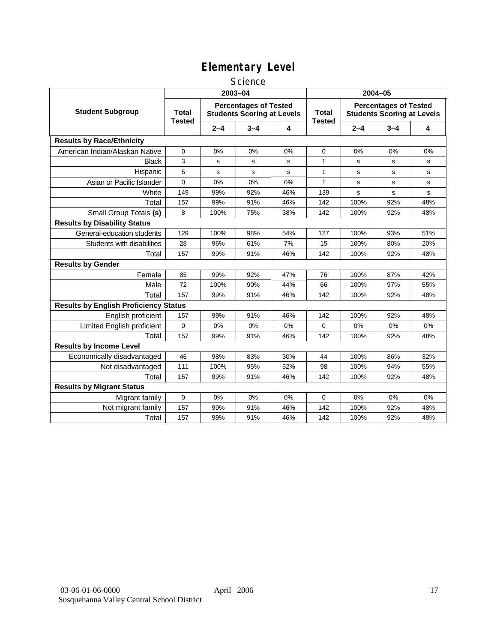### **Science**

|                                              |                               |         | 2003-04                                                           |     | 2004-05                       |                                                                   |         |     |
|----------------------------------------------|-------------------------------|---------|-------------------------------------------------------------------|-----|-------------------------------|-------------------------------------------------------------------|---------|-----|
| <b>Student Subgroup</b>                      | <b>Total</b><br><b>Tested</b> |         | <b>Percentages of Tested</b><br><b>Students Scoring at Levels</b> |     | <b>Total</b><br><b>Tested</b> | <b>Percentages of Tested</b><br><b>Students Scoring at Levels</b> |         |     |
|                                              |                               | $2 - 4$ | $3 - 4$                                                           | 4   |                               | $2 - 4$                                                           | $3 - 4$ | 4   |
| <b>Results by Race/Ethnicity</b>             |                               |         |                                                                   |     |                               |                                                                   |         |     |
| American Indian/Alaskan Native               | 0                             | 0%      | 0%                                                                | 0%  | 0                             | 0%                                                                | 0%      | 0%  |
| <b>Black</b>                                 | 3                             | s       | s                                                                 | s   | $\mathbf{1}$                  | S                                                                 | s       | s   |
| Hispanic                                     | 5                             | s       | s                                                                 | s   | $\mathbf{1}$                  | s                                                                 | s       | s   |
| Asian or Pacific Islander                    | 0                             | 0%      | 0%                                                                | 0%  | 1                             | s                                                                 | s       | s   |
| White                                        | 149                           | 99%     | 92%                                                               | 46% | 139                           | s                                                                 | s       | s   |
| Total                                        | 157                           | 99%     | 91%                                                               | 46% | 142                           | 100%                                                              | 92%     | 48% |
| Small Group Totals (s)                       | 8                             | 100%    | 75%                                                               | 38% | 142                           | 100%                                                              | 92%     | 48% |
| <b>Results by Disability Status</b>          |                               |         |                                                                   |     |                               |                                                                   |         |     |
| General-education students                   | 129                           | 100%    | 98%                                                               | 54% | 127                           | 100%                                                              | 93%     | 51% |
| Students with disabilities                   | 28                            | 96%     | 61%                                                               | 7%  | 15                            | 100%                                                              | 80%     | 20% |
| Total                                        | 157                           | 99%     | 91%                                                               | 46% | 142                           | 100%                                                              | 92%     | 48% |
| <b>Results by Gender</b>                     |                               |         |                                                                   |     |                               |                                                                   |         |     |
| Female                                       | 85                            | 99%     | 92%                                                               | 47% | 76                            | 100%                                                              | 87%     | 42% |
| Male                                         | 72                            | 100%    | 90%                                                               | 44% | 66                            | 100%                                                              | 97%     | 55% |
| Total                                        | 157                           | 99%     | 91%                                                               | 46% | 142                           | 100%                                                              | 92%     | 48% |
| <b>Results by English Proficiency Status</b> |                               |         |                                                                   |     |                               |                                                                   |         |     |
| English proficient                           | 157                           | 99%     | 91%                                                               | 46% | 142                           | 100%                                                              | 92%     | 48% |
| Limited English proficient                   | 0                             | 0%      | 0%                                                                | 0%  | 0                             | 0%                                                                | 0%      | 0%  |
| Total                                        | 157                           | 99%     | 91%                                                               | 46% | 142                           | 100%                                                              | 92%     | 48% |
| <b>Results by Income Level</b>               |                               |         |                                                                   |     |                               |                                                                   |         |     |
| Economically disadvantaged                   | 46                            | 98%     | 83%                                                               | 30% | 44                            | 100%                                                              | 86%     | 32% |
| Not disadvantaged                            | 111                           | 100%    | 95%                                                               | 52% | 98                            | 100%                                                              | 94%     | 55% |
| Total                                        | 157                           | 99%     | 91%                                                               | 46% | 142                           | 100%                                                              | 92%     | 48% |
| <b>Results by Migrant Status</b>             |                               |         |                                                                   |     |                               |                                                                   |         |     |
| Migrant family                               | 0                             | 0%      | $0\%$                                                             | 0%  | 0                             | 0%                                                                | 0%      | 0%  |
| Not migrant family                           | 157                           | 99%     | 91%                                                               | 46% | 142                           | 100%                                                              | 92%     | 48% |
| Total                                        | 157                           | 99%     | 91%                                                               | 46% | 142                           | 100%                                                              | 92%     | 48% |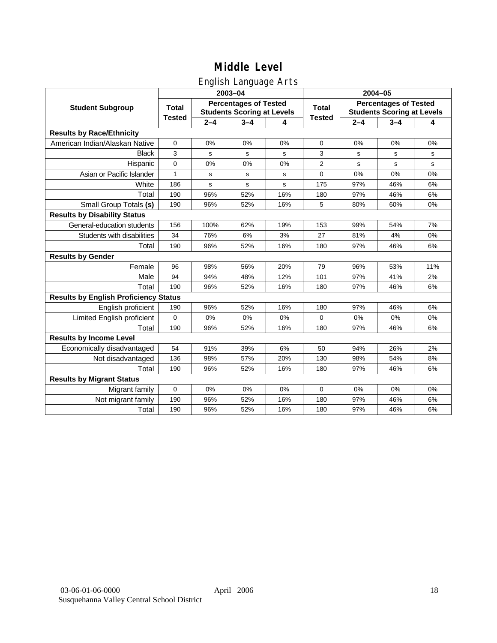# English Language Arts

|                                              |               |         | 2003-04                                                           |     | 2004-05        |                                                                   |         |     |
|----------------------------------------------|---------------|---------|-------------------------------------------------------------------|-----|----------------|-------------------------------------------------------------------|---------|-----|
| <b>Student Subgroup</b>                      | <b>Total</b>  |         | <b>Percentages of Tested</b><br><b>Students Scoring at Levels</b> |     | <b>Total</b>   | <b>Percentages of Tested</b><br><b>Students Scoring at Levels</b> |         |     |
|                                              | <b>Tested</b> | $2 - 4$ | $3 - 4$                                                           | 4   | <b>Tested</b>  | $2 - 4$                                                           | $3 - 4$ | 4   |
| <b>Results by Race/Ethnicity</b>             |               |         |                                                                   |     |                |                                                                   |         |     |
| American Indian/Alaskan Native               | $\mathbf 0$   | 0%      | 0%                                                                | 0%  | $\mathbf 0$    | 0%                                                                | 0%      | 0%  |
| <b>Black</b>                                 | 3             | s       | $\mathbf s$                                                       | s   | 3              | s                                                                 | s       | s   |
| Hispanic                                     | $\mathbf{0}$  | 0%      | 0%                                                                | 0%  | $\overline{2}$ | s                                                                 | s       | s   |
| Asian or Pacific Islander                    | 1             | s       | s                                                                 | s   | $\mathbf 0$    | 0%                                                                | 0%      | 0%  |
| White                                        | 186           | s       | $\mathbf s$                                                       | s   | 175            | 97%                                                               | 46%     | 6%  |
| Total                                        | 190           | 96%     | 52%                                                               | 16% | 180            | 97%                                                               | 46%     | 6%  |
| Small Group Totals (s)                       | 190           | 96%     | 52%                                                               | 16% | 5              | 80%                                                               | 60%     | 0%  |
| <b>Results by Disability Status</b>          |               |         |                                                                   |     |                |                                                                   |         |     |
| General-education students                   | 156           | 100%    | 62%                                                               | 19% | 153            | 99%                                                               | 54%     | 7%  |
| Students with disabilities                   | 34            | 76%     | 6%                                                                | 3%  | 27             | 81%                                                               | 4%      | 0%  |
| Total                                        | 190           | 96%     | 52%                                                               | 16% | 180            | 97%                                                               | 46%     | 6%  |
| <b>Results by Gender</b>                     |               |         |                                                                   |     |                |                                                                   |         |     |
| Female                                       | 96            | 98%     | 56%                                                               | 20% | 79             | 96%                                                               | 53%     | 11% |
| Male                                         | 94            | 94%     | 48%                                                               | 12% | 101            | 97%                                                               | 41%     | 2%  |
| Total                                        | 190           | 96%     | 52%                                                               | 16% | 180            | 97%                                                               | 46%     | 6%  |
| <b>Results by English Proficiency Status</b> |               |         |                                                                   |     |                |                                                                   |         |     |
| English proficient                           | 190           | 96%     | 52%                                                               | 16% | 180            | 97%                                                               | 46%     | 6%  |
| Limited English proficient                   | $\Omega$      | 0%      | 0%                                                                | 0%  | $\Omega$       | 0%                                                                | 0%      | 0%  |
| Total                                        | 190           | 96%     | 52%                                                               | 16% | 180            | 97%                                                               | 46%     | 6%  |
| <b>Results by Income Level</b>               |               |         |                                                                   |     |                |                                                                   |         |     |
| Economically disadvantaged                   | 54            | 91%     | 39%                                                               | 6%  | 50             | 94%                                                               | 26%     | 2%  |
| Not disadvantaged                            | 136           | 98%     | 57%                                                               | 20% | 130            | 98%                                                               | 54%     | 8%  |
| Total                                        | 190           | 96%     | 52%                                                               | 16% | 180            | 97%                                                               | 46%     | 6%  |
| <b>Results by Migrant Status</b>             |               |         |                                                                   |     |                |                                                                   |         |     |
| Migrant family                               | $\mathbf 0$   | 0%      | 0%                                                                | 0%  | $\mathbf 0$    | 0%                                                                | 0%      | 0%  |
| Not migrant family                           | 190           | 96%     | 52%                                                               | 16% | 180            | 97%                                                               | 46%     | 6%  |
| Total                                        | 190           | 96%     | 52%                                                               | 16% | 180            | 97%                                                               | 46%     | 6%  |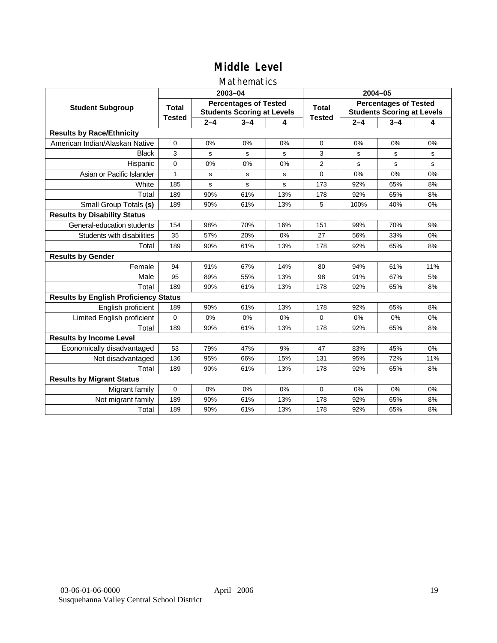### Mathematics

|                                              |               |         | 2003-04                                                           |     | 2004-05        |                                                                   |         |     |
|----------------------------------------------|---------------|---------|-------------------------------------------------------------------|-----|----------------|-------------------------------------------------------------------|---------|-----|
| <b>Student Subgroup</b>                      | <b>Total</b>  |         | <b>Percentages of Tested</b><br><b>Students Scoring at Levels</b> |     | Total          | <b>Percentages of Tested</b><br><b>Students Scoring at Levels</b> |         |     |
|                                              | <b>Tested</b> | $2 - 4$ | $3 - 4$                                                           | 4   | <b>Tested</b>  | $2 - 4$                                                           | $3 - 4$ | 4   |
| <b>Results by Race/Ethnicity</b>             |               |         |                                                                   |     |                |                                                                   |         |     |
| American Indian/Alaskan Native               | $\mathbf 0$   | 0%      | 0%                                                                | 0%  | $\Omega$       | 0%                                                                | 0%      | 0%  |
| <b>Black</b>                                 | 3             | s       | s                                                                 | s   | 3              | s                                                                 | s       | s   |
| Hispanic                                     | $\Omega$      | 0%      | 0%                                                                | 0%  | $\overline{2}$ | s                                                                 | s       | s   |
| Asian or Pacific Islander                    | 1             | s       | s                                                                 | s   | 0              | 0%                                                                | 0%      | 0%  |
| White                                        | 185           | s       | s                                                                 | S   | 173            | 92%                                                               | 65%     | 8%  |
| Total                                        | 189           | 90%     | 61%                                                               | 13% | 178            | 92%                                                               | 65%     | 8%  |
| Small Group Totals (s)                       | 189           | 90%     | 61%                                                               | 13% | 5              | 100%                                                              | 40%     | 0%  |
| <b>Results by Disability Status</b>          |               |         |                                                                   |     |                |                                                                   |         |     |
| General-education students                   | 154           | 98%     | 70%                                                               | 16% | 151            | 99%                                                               | 70%     | 9%  |
| Students with disabilities                   | 35            | 57%     | 20%                                                               | 0%  | 27             | 56%                                                               | 33%     | 0%  |
| Total                                        | 189           | 90%     | 61%                                                               | 13% | 178            | 92%                                                               | 65%     | 8%  |
| <b>Results by Gender</b>                     |               |         |                                                                   |     |                |                                                                   |         |     |
| Female                                       | 94            | 91%     | 67%                                                               | 14% | 80             | 94%                                                               | 61%     | 11% |
| Male                                         | 95            | 89%     | 55%                                                               | 13% | 98             | 91%                                                               | 67%     | 5%  |
| Total                                        | 189           | 90%     | 61%                                                               | 13% | 178            | 92%                                                               | 65%     | 8%  |
| <b>Results by English Proficiency Status</b> |               |         |                                                                   |     |                |                                                                   |         |     |
| English proficient                           | 189           | 90%     | 61%                                                               | 13% | 178            | 92%                                                               | 65%     | 8%  |
| Limited English proficient                   | 0             | 0%      | 0%                                                                | 0%  | 0              | 0%                                                                | 0%      | 0%  |
| Total                                        | 189           | 90%     | 61%                                                               | 13% | 178            | 92%                                                               | 65%     | 8%  |
| <b>Results by Income Level</b>               |               |         |                                                                   |     |                |                                                                   |         |     |
| Economically disadvantaged                   | 53            | 79%     | 47%                                                               | 9%  | 47             | 83%                                                               | 45%     | 0%  |
| Not disadvantaged                            | 136           | 95%     | 66%                                                               | 15% | 131            | 95%                                                               | 72%     | 11% |
| Total                                        | 189           | 90%     | 61%                                                               | 13% | 178            | 92%                                                               | 65%     | 8%  |
| <b>Results by Migrant Status</b>             |               |         |                                                                   |     |                |                                                                   |         |     |
| Migrant family                               | 0             | 0%      | 0%                                                                | 0%  | $\Omega$       | 0%                                                                | 0%      | 0%  |
| Not migrant family                           | 189           | 90%     | 61%                                                               | 13% | 178            | 92%                                                               | 65%     | 8%  |
| Total                                        | 189           | 90%     | 61%                                                               | 13% | 178            | 92%                                                               | 65%     | 8%  |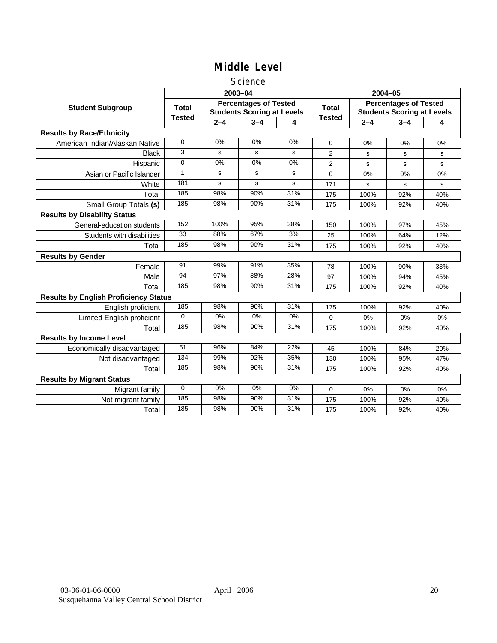### **Science**

|                                              |                 |         | 2003-04                                                           |     | 2004-05        |                                                                   |         |     |
|----------------------------------------------|-----------------|---------|-------------------------------------------------------------------|-----|----------------|-------------------------------------------------------------------|---------|-----|
| <b>Student Subgroup</b>                      | <b>Total</b>    |         | <b>Percentages of Tested</b><br><b>Students Scoring at Levels</b> |     | <b>Total</b>   | <b>Percentages of Tested</b><br><b>Students Scoring at Levels</b> |         |     |
|                                              | <b>Tested</b>   | $2 - 4$ | $3 - 4$                                                           | 4   | <b>Tested</b>  | $2 - 4$                                                           | $3 - 4$ | 4   |
| <b>Results by Race/Ethnicity</b>             |                 |         |                                                                   |     |                |                                                                   |         |     |
| American Indian/Alaskan Native               | $\mathbf 0$     | 0%      | 0%                                                                | 0%  | $\mathbf 0$    | 0%                                                                | 0%      | 0%  |
| <b>Black</b>                                 | 3               | s       | s                                                                 | s   | $\overline{2}$ | s                                                                 | s       | s   |
| Hispanic                                     | $\mathbf 0$     | 0%      | 0%                                                                | 0%  | $\overline{2}$ | s                                                                 | s       | s   |
| Asian or Pacific Islander                    | 1               | s       | s                                                                 | s   | 0              | 0%                                                                | 0%      | 0%  |
| White                                        | 181             | s       | s                                                                 | s   | 171            | $\mathbf s$                                                       | s       | s   |
| Total                                        | 185             | 98%     | 90%                                                               | 31% | 175            | 100%                                                              | 92%     | 40% |
| Small Group Totals (s)                       | 185             | 98%     | 90%                                                               | 31% | 175            | 100%                                                              | 92%     | 40% |
| <b>Results by Disability Status</b>          |                 |         |                                                                   |     |                |                                                                   |         |     |
| General-education students                   | 152             | 100%    | 95%                                                               | 38% | 150            | 100%                                                              | 97%     | 45% |
| Students with disabilities                   | $\overline{33}$ | 88%     | 67%                                                               | 3%  | 25             | 100%                                                              | 64%     | 12% |
| Total                                        | 185             | 98%     | 90%                                                               | 31% | 175            | 100%                                                              | 92%     | 40% |
| <b>Results by Gender</b>                     |                 |         |                                                                   |     |                |                                                                   |         |     |
| Female                                       | 91              | 99%     | 91%                                                               | 35% | 78             | 100%                                                              | 90%     | 33% |
| Male                                         | 94              | 97%     | 88%                                                               | 28% | 97             | 100%                                                              | 94%     | 45% |
| Total                                        | 185             | 98%     | 90%                                                               | 31% | 175            | 100%                                                              | 92%     | 40% |
| <b>Results by English Proficiency Status</b> |                 |         |                                                                   |     |                |                                                                   |         |     |
| English proficient                           | 185             | 98%     | 90%                                                               | 31% | 175            | 100%                                                              | 92%     | 40% |
| Limited English proficient                   | $\Omega$        | $0\%$   | 0%                                                                | 0%  | 0              | 0%                                                                | 0%      | 0%  |
| Total                                        | 185             | 98%     | 90%                                                               | 31% | 175            | 100%                                                              | 92%     | 40% |
| <b>Results by Income Level</b>               |                 |         |                                                                   |     |                |                                                                   |         |     |
| Economically disadvantaged                   | 51              | 96%     | 84%                                                               | 22% | 45             | 100%                                                              | 84%     | 20% |
| Not disadvantaged                            | 134             | 99%     | 92%                                                               | 35% | 130            | 100%                                                              | 95%     | 47% |
| Total                                        | 185             | 98%     | 90%                                                               | 31% | 175            | 100%                                                              | 92%     | 40% |
| <b>Results by Migrant Status</b>             |                 |         |                                                                   |     |                |                                                                   |         |     |
| Migrant family                               | $\mathbf 0$     | 0%      | 0%                                                                | 0%  | 0              | 0%                                                                | 0%      | 0%  |
| Not migrant family                           | 185             | 98%     | 90%                                                               | 31% | 175            | 100%                                                              | 92%     | 40% |
| Total                                        | 185             | 98%     | 90%                                                               | 31% | 175            | 100%                                                              | 92%     | 40% |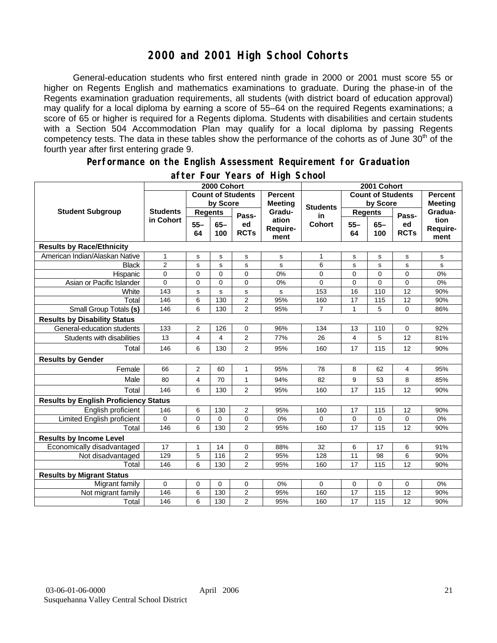# **2000 and 2001 High School Cohorts**

General-education students who first entered ninth grade in 2000 or 2001 must score 55 or higher on Regents English and mathematics examinations to graduate. During the phase-in of the Regents examination graduation requirements, all students (with district board of education approval) may qualify for a local diploma by earning a score of 55–64 on the required Regents examinations; a score of 65 or higher is required for a Regents diploma. Students with disabilities and certain students with a Section 504 Accommodation Plan may qualify for a local diploma by passing Regents competency tests. The data in these tables show the performance of the cohorts as of June  $30<sup>th</sup>$  of the fourth year after first entering grade 9.

#### **Performance on the English Assessment Requirement for Graduation**

|                                              | 2000 Cohort                  |                          |               |                                  |                           | 2001 Cohort              |                 |                |                   |                          |
|----------------------------------------------|------------------------------|--------------------------|---------------|----------------------------------|---------------------------|--------------------------|-----------------|----------------|-------------------|--------------------------|
|                                              |                              | <b>Count of Students</b> |               | <b>Percent</b><br><b>Meeting</b> |                           | <b>Count of Students</b> |                 | <b>Percent</b> |                   |                          |
|                                              | <b>Students</b><br>in Cohort | by Score                 |               |                                  | <b>Students</b>           | by Score                 |                 |                | <b>Meeting</b>    |                          |
| <b>Student Subgroup</b>                      |                              | <b>Regents</b>           |               | Pass-                            | Gradu-                    | in                       | <b>Regents</b>  |                | Pass-             | Gradua-                  |
|                                              |                              | $55 -$<br>64             | $65 -$<br>100 | ed<br><b>RCTs</b>                | ation<br>Require-<br>ment | <b>Cohort</b>            | $55 -$<br>64    | $65 -$<br>100  | ed<br><b>RCTs</b> | tion<br>Require-<br>ment |
| <b>Results by Race/Ethnicity</b>             |                              |                          |               |                                  |                           |                          |                 |                |                   |                          |
| American Indian/Alaskan Native               | $\mathbf{1}$                 | $\mathbf S$              | $\mathsf{s}$  | s                                | $\mathbf s$               | 1                        | s               | $\mathbf s$    | s                 | $\mathbf s$              |
| <b>Black</b>                                 | $\overline{2}$               | s                        | $\mathbf s$   | s                                | s                         | 6                        | s               | s              | s                 | s                        |
| Hispanic                                     | 0                            | $\mathbf 0$              | $\mathbf 0$   | 0                                | 0%                        | 0                        | 0               | $\mathbf 0$    | 0                 | 0%                       |
| Asian or Pacific Islander                    | $\Omega$                     | $\mathbf 0$              | $\mathbf 0$   | $\overline{0}$                   | 0%                        | $\Omega$                 | 0               | $\overline{0}$ | 0                 | 0%                       |
| White                                        | 143                          | s                        | s             | s                                | s                         | 153                      | 16              | 110            | 12                | 90%                      |
| Total                                        | 146                          | 6                        | 130           | $\overline{2}$                   | 95%                       | 160                      | $\overline{17}$ | 115            | $\overline{12}$   | 90%                      |
| Small Group Totals (s)                       | 146                          | 6                        | 130           | $\overline{2}$                   | 95%                       | $\overline{7}$           | $\overline{1}$  | 5              | 0                 | 86%                      |
| <b>Results by Disability Status</b>          |                              |                          |               |                                  |                           |                          |                 |                |                   |                          |
| General-education students                   | 133                          | 2                        | 126           | 0                                | 96%                       | 134                      | 13              | 110            | 0                 | 92%                      |
| Students with disabilities                   | 13                           | 4                        | 4             | 2                                | 77%                       | 26                       | $\overline{4}$  | 5              | 12                | 81%                      |
| Total                                        | 146                          | 6                        | 130           | 2                                | 95%                       | 160                      | 17              | 115            | 12                | 90%                      |
| <b>Results by Gender</b>                     |                              |                          |               |                                  |                           |                          |                 |                |                   |                          |
| Female                                       | 66                           | $\overline{2}$           | 60            | $\mathbf{1}$                     | 95%                       | 78                       | 8               | 62             | 4                 | 95%                      |
| Male                                         | 80                           | 4                        | 70            | $\mathbf{1}$                     | 94%                       | 82                       | 9               | 53             | 8                 | 85%                      |
| Total                                        | 146                          | 6                        | 130           | $\overline{2}$                   | 95%                       | 160                      | 17              | 115            | 12                | 90%                      |
| <b>Results by English Proficiency Status</b> |                              |                          |               |                                  |                           |                          |                 |                |                   |                          |
| English proficient                           | 146                          | 6                        | 130           | 2                                | 95%                       | 160                      | 17              | 115            | 12                | 90%                      |
| Limited English proficient                   | 0                            | $\mathbf 0$              | 0             | 0                                | 0%                        | 0                        | 0               | 0              | 0                 | 0%                       |
| Total                                        | 146                          | 6                        | 130           | $\overline{2}$                   | 95%                       | 160                      | 17              | 115            | 12                | 90%                      |
| <b>Results by Income Level</b>               |                              |                          |               |                                  |                           |                          |                 |                |                   |                          |
| Economically disadvantaged                   | 17                           | $\mathbf{1}$             | 14            | 0                                | 88%                       | 32                       | 6               | 17             | 6                 | 91%                      |
| Not disadvantaged                            | 129                          | 5                        | 116           | $\overline{2}$                   | 95%                       | 128                      | $\overline{11}$ | 98             | 6                 | 90%                      |
| Total                                        | 146                          | 6                        | 130           | $\overline{2}$                   | 95%                       | 160                      | 17              | 115            | 12                | 90%                      |
| <b>Results by Migrant Status</b>             |                              |                          |               |                                  |                           |                          |                 |                |                   |                          |
| Migrant family                               | 0                            | $\mathbf 0$              | $\mathbf 0$   | 0                                | 0%                        | 0                        | 0               | $\mathbf 0$    | 0                 | 0%                       |
| Not migrant family                           | 146                          | 6                        | 130           | 2                                | 95%                       | 160                      | 17              | 115            | 12                | 90%                      |
| Total                                        | 146                          | 6                        | 130           | $\overline{2}$                   | 95%                       | 160                      | 17              | 115            | 12                | 90%                      |

### **after Four Years of High School**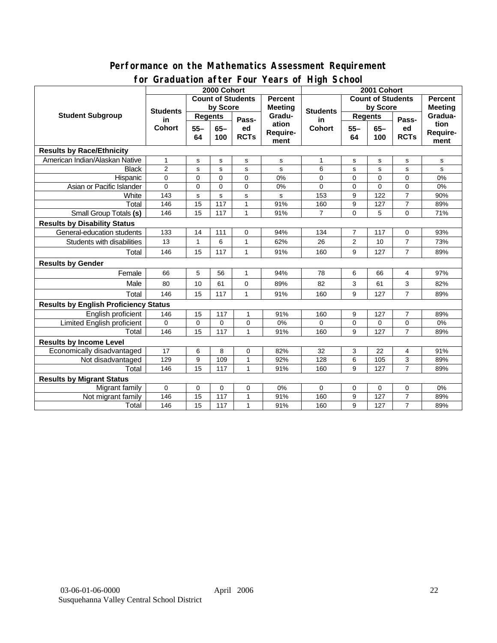### **Performance on the Mathematics Assessment Requirement for Graduation after Four Years of High School**

|                                              |                                        | 2000 Cohort                                |              | addation artor roar roard or ringir bonoo<br>2001 Cohort |                |                          |                |             |                |          |
|----------------------------------------------|----------------------------------------|--------------------------------------------|--------------|----------------------------------------------------------|----------------|--------------------------|----------------|-------------|----------------|----------|
|                                              |                                        | <b>Count of Students</b><br><b>Percent</b> |              |                                                          |                | <b>Count of Students</b> |                |             | <b>Percent</b> |          |
| <b>Student Subgroup</b>                      | <b>Students</b><br>in<br><b>Cohort</b> | by Score                                   |              |                                                          | <b>Meeting</b> |                          | by Score       |             | <b>Meeting</b> |          |
|                                              |                                        | <b>Regents</b>                             |              | Pass-                                                    | Gradu-         | <b>Students</b><br>in    | <b>Regents</b> |             | Pass-          | Gradua-  |
|                                              |                                        | $55 -$                                     | $65-$        | ed                                                       | ation          | <b>Cohort</b>            | $55 -$         | $65-$       | ed             | tion     |
|                                              |                                        | 64                                         | 100          | <b>RCTs</b>                                              | Require-       |                          | 64             | 100         | <b>RCTs</b>    | Require- |
|                                              |                                        |                                            |              |                                                          | ment           |                          |                |             |                | ment     |
| <b>Results by Race/Ethnicity</b>             |                                        |                                            |              |                                                          |                |                          |                |             |                |          |
| American Indian/Alaskan Native               | $\mathbf{1}$                           | s                                          | s            | s                                                        | s              | 1                        | s              | s           | s              | s        |
| <b>Black</b>                                 | $\overline{2}$                         | s                                          | s            | s                                                        | s              | 6                        | s              | s           | s              | s        |
| Hispanic                                     | $\Omega$                               | $\mathbf 0$                                | $\mathbf{0}$ | $\overline{0}$                                           | 0%             | $\overline{0}$           | $\Omega$       | $\Omega$    | $\Omega$       | 0%       |
| Asian or Pacific Islander                    | $\overline{0}$                         | $\mathbf 0$                                | $\Omega$     | $\Omega$                                                 | 0%             | $\Omega$                 | 0              | $\Omega$    | $\Omega$       | 0%       |
| White                                        | $\frac{1}{143}$                        | s                                          | s            | s                                                        | s              | 153                      | 9              | 122         | $\overline{7}$ | 90%      |
| Total                                        | 146                                    | 15                                         | 117          | $\mathbf{1}$                                             | 91%            | 160                      | 9              | 127         | $\overline{7}$ | 89%      |
| Small Group Totals (s)                       | 146                                    | 15                                         | 117          | $\mathbf{1}$                                             | 91%            | $\overline{7}$           | 0              | 5           | $\Omega$       | 71%      |
| <b>Results by Disability Status</b>          |                                        |                                            |              |                                                          |                |                          |                |             |                |          |
| General-education students                   | 133                                    | 14                                         | 111          | 0                                                        | 94%            | 134                      | 7              | 117         | 0              | 93%      |
| Students with disabilities                   | 13                                     | 1                                          | 6            | $\mathbf{1}$                                             | 62%            | 26                       | 2              | 10          | $\overline{7}$ | 73%      |
| Total                                        | 146                                    | 15                                         | 117          | $\mathbf{1}$                                             | 91%            | 160                      | 9              | 127         | $\overline{7}$ | 89%      |
| <b>Results by Gender</b>                     |                                        |                                            |              |                                                          |                |                          |                |             |                |          |
| Female                                       | 66                                     | 5                                          | 56           | 1                                                        | 94%            | 78                       | 6              | 66          | 4              | 97%      |
| Male                                         | 80                                     | 10                                         | 61           | $\Omega$                                                 | 89%            | 82                       | 3              | 61          | 3              | 82%      |
| Total                                        | 146                                    | 15                                         | 117          | 1                                                        | 91%            | 160                      | 9              | 127         | $\overline{7}$ | 89%      |
| <b>Results by English Proficiency Status</b> |                                        |                                            |              |                                                          |                |                          |                |             |                |          |
| English proficient                           | 146                                    | 15                                         | 117          | $\mathbf{1}$                                             | 91%            | 160                      | 9              | 127         | $\overline{7}$ | 89%      |
| <b>Limited English proficient</b>            | 0                                      | $\mathbf 0$                                | $\Omega$     | 0                                                        | 0%             | $\Omega$                 | 0              | $\mathbf 0$ | 0              | 0%       |
| Total                                        | 146                                    | 15                                         | 117          | $\mathbf{1}$                                             | 91%            | 160                      | 9              | 127         | $\overline{7}$ | 89%      |
| <b>Results by Income Level</b>               |                                        |                                            |              |                                                          |                |                          |                |             |                |          |
| Economically disadvantaged                   | 17                                     | 6                                          | 8            | 0                                                        | 82%            | 32                       | 3              | 22          | 4              | 91%      |
| Not disadvantaged                            | 129                                    | 9                                          | 109          | $\mathbf{1}$                                             | 92%            | 128                      | 6              | 105         | 3              | 89%      |
| Total                                        | 146                                    | 15                                         | 117          | $\mathbf{1}$                                             | 91%            | 160                      | 9              | 127         | $\overline{7}$ | 89%      |
| <b>Results by Migrant Status</b>             |                                        |                                            |              |                                                          |                |                          |                |             |                |          |
| Migrant family                               | $\mathbf 0$                            | 0                                          | 0            | 0                                                        | 0%             | 0                        | 0              | $\mathbf 0$ | 0              | 0%       |
| Not migrant family                           | 146                                    | 15                                         | 117          | 1                                                        | 91%            | 160                      | 9              | 127         | $\overline{7}$ | 89%      |
| Total                                        | 146                                    | 15                                         | 117          | $\mathbf{1}$                                             | 91%            | 160                      | 9              | 127         | $\overline{7}$ | 89%      |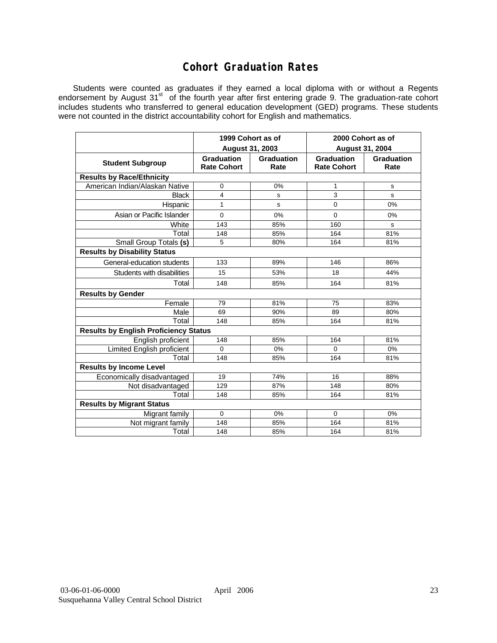# **Cohort Graduation Rates**

Students were counted as graduates if they earned a local diploma with or without a Regents endorsement by August 31<sup>st</sup> of the fourth year after first entering grade 9. The graduation-rate cohort includes students who transferred to general education development (GED) programs. These students were not counted in the district accountability cohort for English and mathematics.

|                                              | 1999 Cohort as of                |                    | 2000 Cohort as of                |                    |  |  |  |  |  |  |
|----------------------------------------------|----------------------------------|--------------------|----------------------------------|--------------------|--|--|--|--|--|--|
|                                              | August 31, 2003                  |                    | <b>August 31, 2004</b>           |                    |  |  |  |  |  |  |
| <b>Student Subgroup</b>                      | Graduation<br><b>Rate Cohort</b> | Graduation<br>Rate | Graduation<br><b>Rate Cohort</b> | Graduation<br>Rate |  |  |  |  |  |  |
| <b>Results by Race/Ethnicity</b>             |                                  |                    |                                  |                    |  |  |  |  |  |  |
| American Indian/Alaskan Native               | 0                                | 0%                 | 1                                | s                  |  |  |  |  |  |  |
| <b>Black</b>                                 | 4                                | s                  | 3                                | S                  |  |  |  |  |  |  |
| Hispanic                                     | 1                                | S                  | $\mathbf 0$                      | 0%                 |  |  |  |  |  |  |
| Asian or Pacific Islander                    | $\mathbf{0}$                     | 0%                 | $\Omega$                         | 0%                 |  |  |  |  |  |  |
| White                                        | 143                              | 85%                | 160                              | s                  |  |  |  |  |  |  |
| Total                                        | 148                              | 85%                | 164                              | 81%                |  |  |  |  |  |  |
| Small Group Totals (s)                       | 5                                | 80%                | 164                              | 81%                |  |  |  |  |  |  |
| <b>Results by Disability Status</b>          |                                  |                    |                                  |                    |  |  |  |  |  |  |
| General-education students                   | 133                              | 89%                | 146                              | 86%                |  |  |  |  |  |  |
| Students with disabilities                   | 15                               | 53%                | 18                               | 44%                |  |  |  |  |  |  |
| Total                                        | 148                              | 85%                | 164                              | 81%                |  |  |  |  |  |  |
| <b>Results by Gender</b>                     |                                  |                    |                                  |                    |  |  |  |  |  |  |
| Female                                       | 79                               | 81%                | 75                               | 83%                |  |  |  |  |  |  |
| Male                                         | 69                               | 90%                | 89                               | 80%                |  |  |  |  |  |  |
| Total                                        | 148                              | 85%                | 164                              | 81%                |  |  |  |  |  |  |
| <b>Results by English Proficiency Status</b> |                                  |                    |                                  |                    |  |  |  |  |  |  |
| English proficient                           | 148                              | 85%                | 164                              | 81%                |  |  |  |  |  |  |
| <b>Limited English proficient</b>            | $\Omega$                         | 0%                 | $\Omega$                         | 0%                 |  |  |  |  |  |  |
| Total                                        | 148                              | 85%                | 164                              | 81%                |  |  |  |  |  |  |
| <b>Results by Income Level</b>               |                                  |                    |                                  |                    |  |  |  |  |  |  |
| Economically disadvantaged                   | 19                               | 74%                | 16                               | 88%                |  |  |  |  |  |  |
| Not disadvantaged                            | 129                              | 87%                | 148                              | 80%                |  |  |  |  |  |  |
| Total                                        | 148                              | 85%                | 164                              | 81%                |  |  |  |  |  |  |
| <b>Results by Migrant Status</b>             |                                  |                    |                                  |                    |  |  |  |  |  |  |
| Migrant family                               | $\Omega$                         | 0%                 | $\Omega$                         | 0%                 |  |  |  |  |  |  |
| Not migrant family                           | 148                              | 85%                | 164                              | 81%                |  |  |  |  |  |  |
| Total                                        | 148                              | 85%                | 164                              | 81%                |  |  |  |  |  |  |